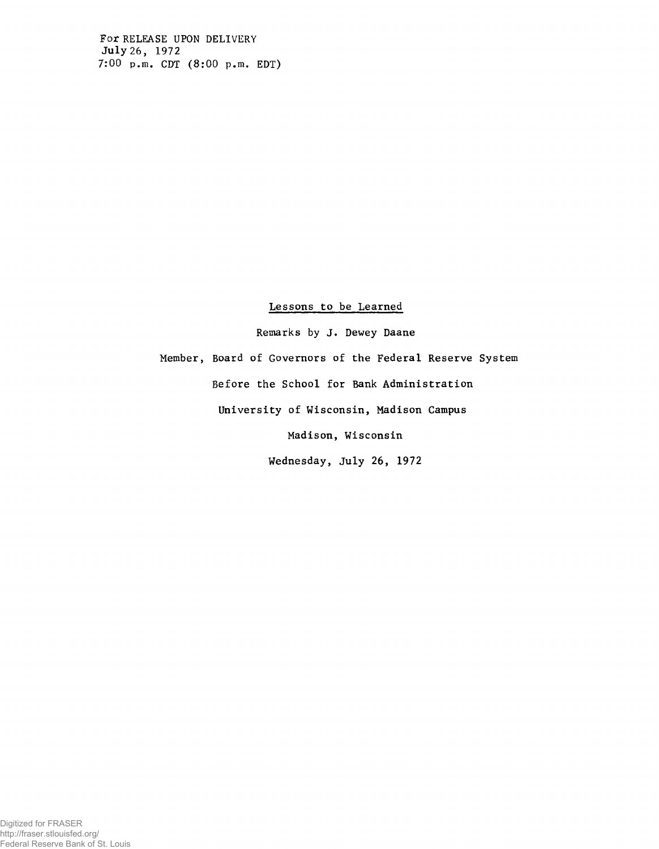## **Lessons to be Learned**

**Remarks by J. Dewey Daane**

**Member, Board of Governors of the Federal Reserve System Before the School for Bank Administration University of Wisconsin, Madison Campus Madison, Wisconsin Wednesday, July 26, 1972**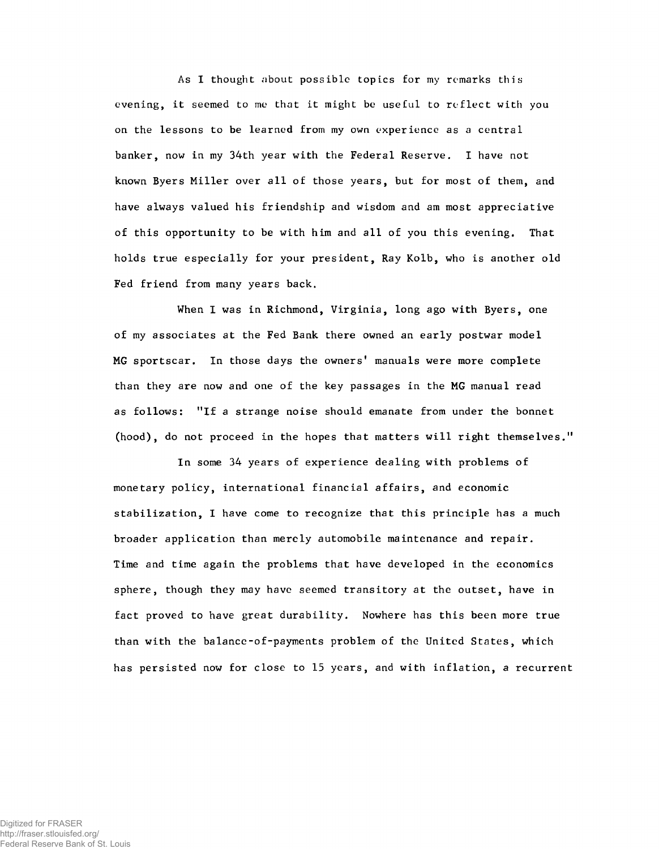**As I thought about possible topics for my remarks this evening, it seemed to me that it might be useful to reflect with you on the lessons to be learned from my own experience as a central banker, now in my 34th year with the Federal Reserve. I have not known Byers Miller over all of those years, but for most of them, and have always valued his friendship and wisdom and am most appreciative of this opportunity to be with him and all of you this evening. That holds true especially for your president, Ray Kolb, who is another old Fed friend from many years back.**

**When I was in Richmond, Virginia, long ago with Byers, one of my associates at the Fed Bank there owned an early postwar model MG sportscar. In those days the owners1 manuals were more complete than they are now and one of the key passages in the MG manual read as follows: "If a strange noise should emanate from under the bonnet (hood), do not proceed in the hopes that matters will right themselves.11**

**In some 34 years of experience dealing with problems of monetary policy, international financial affairs, and economic stabilization, I have come to recognize that this principle has a much broader application than merely automobile maintenance and repair. Time and time again the problems that have developed in the economics sphere, though they may have seemed transitory at the outset, have in fact proved to have great durability. Nowhere has this been more true than with the balance-of-payments problem of the United States, which has persisted now for close to 15 years, and with inflation, a recurrent**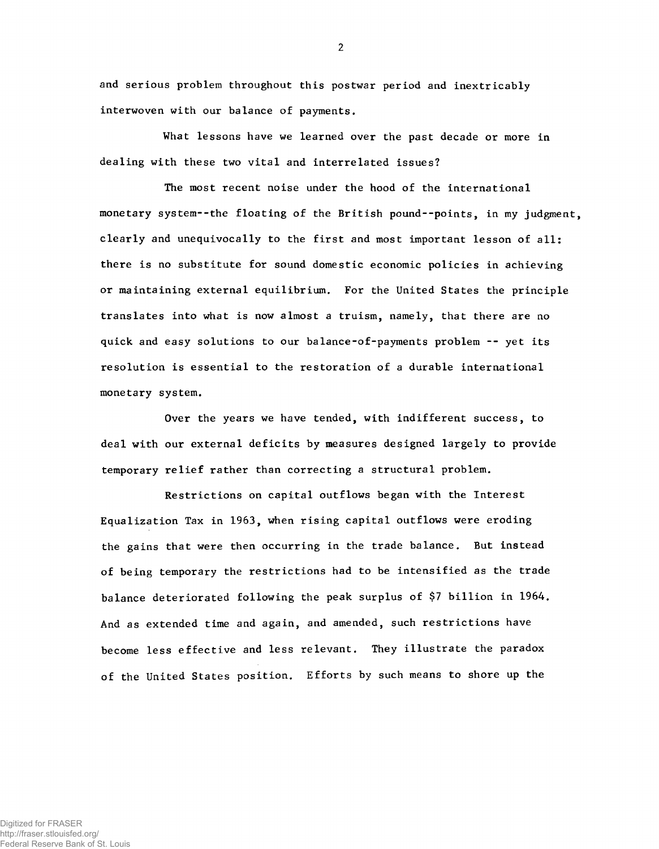**and serious problem throughout this postwar period and inextricably interwoven with our balance of payments.**

**What lessons have we learned over the past decade or more in dealing with these two vital and interrelated issues?**

**The most recent noise under the hood of the international monetary system--the floating of the British pound--points, in my judgment, clearly and unequivocally to the first and most important lesson of all: there is no substitute for sound domestic economic policies in achieving or maintaining external equilibrium. For the United States the principle translates into what is now almost a truism, namely, that there are no quick and easy solutions to our balance-of-payments problem -- yet its resolution is essential to the restoration of a durable international monetary system.**

Over the years we have tended, with indifferent success, to deal with our external deficits by measures designed largely to provide temporary relief rather than correcting a structural problem.

**Restrictions on capital outflows began with the Interest Equalization Tax in 1963, when rising capital outflows were eroding the gains that were then occurring in the trade balance. But instead of being temporary the restrictions had to be intensified as the trade balance deteriorated following the peak surplus of \$7 billion in 1964.** And as extended time and again, and amended, such restrictions have become less effective and less relevant. They illustrate the paradox of the United States position. Efforts by such means to shore up the

 $\overline{2}$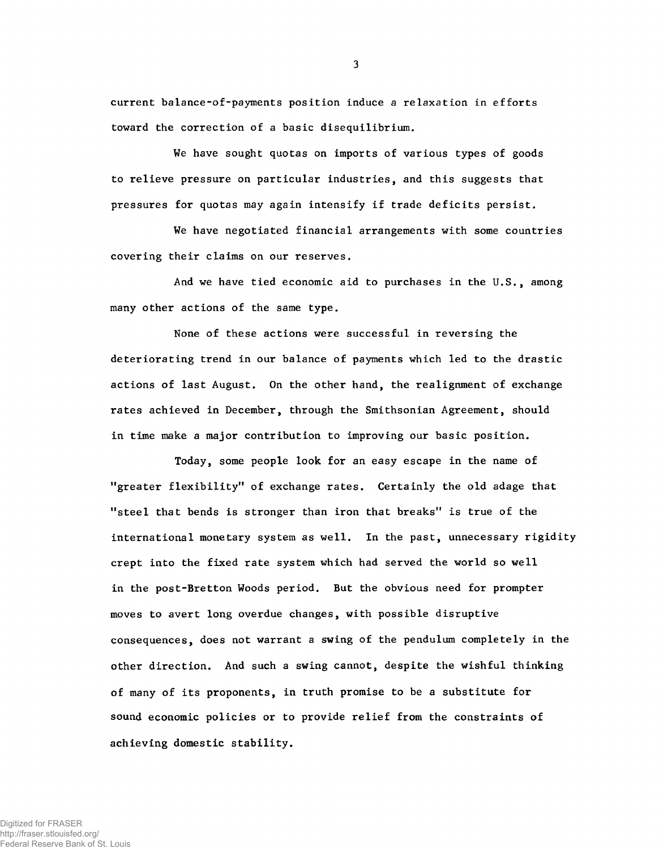**current balance-of-payments position induce a relaxation in efforts toward the correction of a basic disequilibrium.**

**We have sought quotas on imports of various types of goods to relieve pressure on particular industries, and this suggests that pressures for quotas may again intensify if trade deficits persist.**

**We have negotiated financial arrangements with some countries covering their claims on our reserves.**

**And we have tied economic aid to purchases in the U.S., among many other actions of the same type.**

**None of these actions were successful in reversing the deteriorating trend in our balance of payments which led to the drastic actions of last August. On the other hand, the realignment of exchange rates achieved in December, through the Smithsonian Agreement, should in time make a major contribution to improving our basic position.**

**Today, some people look for an easy escape in the name of "greater flexibility" of exchange rates. Certainly the old adage that "steel that bends is stronger than iron that breaks" is true of the international monetary system as well. In the past, unnecessary rigidity crept into the fixed rate system which had served the world so well in the post-Bretton Woods period. But the obvious need for prompter moves to avert long overdue changes, with possible disruptive consequences, does not warrant a swing of the pendulum completely in the other direction. And such a swing cannot, despite the wishful thinking of many of its proponents, in truth promise to be a substitute for sound economic policies or to provide relief from the constraints of achieving domestic stability.**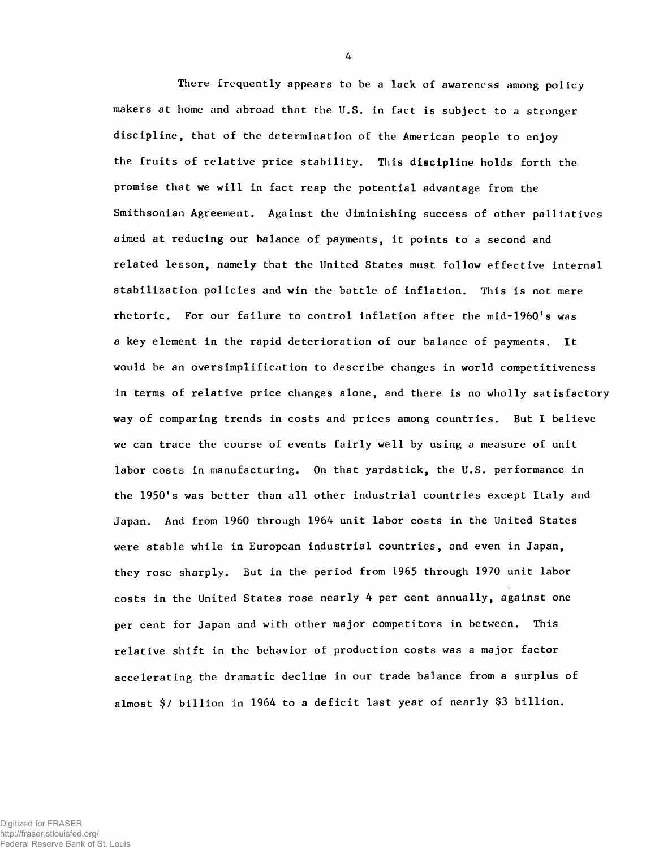**There frequently appears to be a lack of awareness among policy makers at home and abroad that the U.S. in fact is subject to a stronger discipline, that of the determination of the American people to enjoy the fruits of relative price stability. This discipline holds forth the promise that we will in fact reap the potential advantage from the Smithsonian Agreement. Against the diminishing success of other palliatives aimed at reducing our balance of payments, it points to a second and related lesson, namely that the United States must follow effective internal stabilization policies and win the battle of inflation. This is not mere rhetoric. For our failure to control inflation after the mid-1960's was a key element in the rapid deterioration of our balance of payments. It would be an oversimplification to describe changes in world competitiveness in terms of relative price changes alone, and there is no wholly satisfactory way of comparing trends in costs and prices among countries. But I believe we can trace the course of events fairly well by using a measure of unit labor costs in manufacturing. On that yardstick, the U.S. performance in the 1950's was better than all other industrial countries except Italy and Japan. And from 1960 through 1964 unit labor costs in the United States were stable while in European industrial countries, and even in Japan, they rose sharply. But in the period from 1965 through 1970 unit labor costs in the United States rose nearly 4 per cent annually, against one per cent for Japan and with other major competitors in between. This relative shift in the behavior of production costs was a major factor accelerating the dramatic decline in our trade balance from a surplus of almost \$7 billion in 1964 to a deficit last year of nearly \$3 billion.**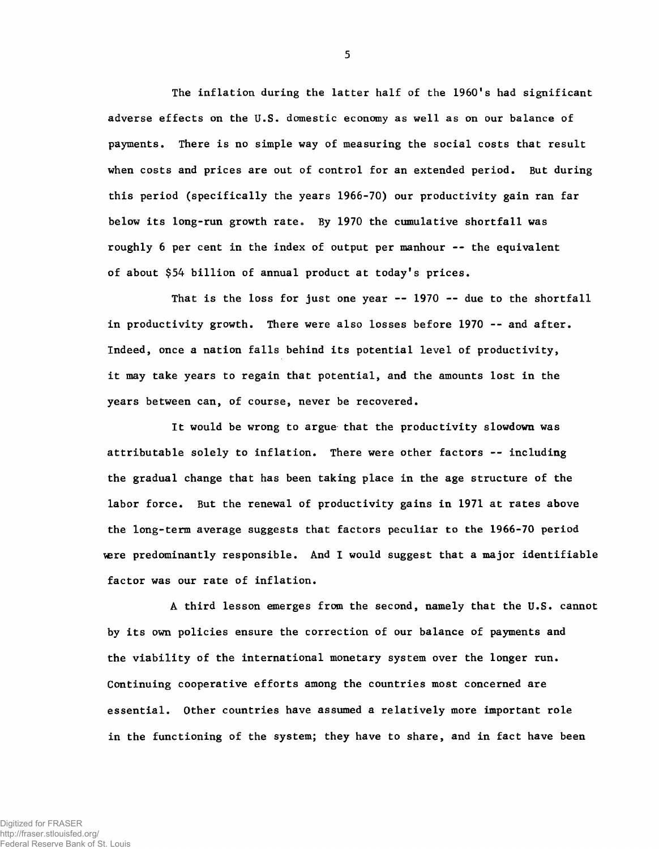**The inflation during the latter half of the 1960's had significant adverse effects on the U.S. domestic economy as well as on our balance of payments. There is no simple way of measuring the social costs that result when costs and prices are out of control for an extended period. But during this period (specifically the years 1966-70) our productivity gain ran far** below its long-run growth rate. By 1970 the cumulative shortfall was **roughly 6 per cent in the index of output per manhour -- the equivalent of about \$54 billion of annual product at today's prices.**

**That is the loss for just one year — 1970 — due to the shortfall in productivity growth. There were also losses before 1970 -- and after. Indeed, once a nation falls behind its potential level of productivity, it may take years to regain that potential, and the amounts lost in the years between can, of course, never be recovered.**

**It would be wrong to argue that the productivity slowdown was attributable solely to inflation. There were other factors — including the gradual change that has been taking place in the age structure of the labor force. But the renewal of productivity gains in 1971 at rates above the long-term average suggests that factors peculiar to the 1966-70 period rere predominantly responsible. And I would suggest that a major identifiable factor was our rate of inflation.**

**A third lesson emerges from the second, namely that the U.S. cannot by its own policies ensure the correction of our balance of payments and the viability of the international monetary system over the longer run. Continuing cooperative efforts among the countries most concerned are essential. Other countries have assumed a relatively more important role in the functioning of the system; they have to share, and in fact have been**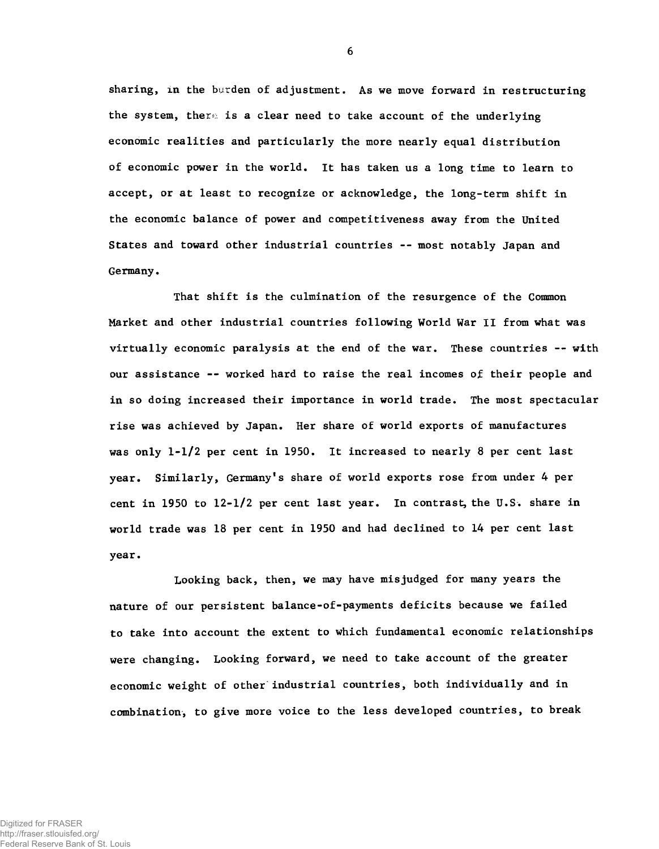**sharing, in the burden of adjustment. As we move forward in restructuring the system, there is a clear need to take account of the underlying economic realities and particularly the more nearly equal distribution of economic power in the world. It has taken us a long time to learn to accept, or at least to recognize or acknowledge, the long-term shift in the economic balance of power and competitiveness away from the United States and toward other industrial countries — most notably Japan and Germany.**

**That shift is the culmination of the resurgence of the Common Market and other industrial countries following World War II from what was virtually economic paralysis at the end of the war. These countries — with our assistance -- worked hard to raise the real incomes of their people and in so doing increased their importance in world trade. The most spectacular rise was achieved by Japan. Her share of world exports of manufactures was only 1-1/2 per cent in 1950. It increased to nearly 8 per cent last year. Similarly, Germany's share of world exports rose from under 4 per cent in 1950 to 12-1/2 per cent last year. In contrast, the U.S. share in world trade was 18 per cent in 1950 and had declined to 14 per cent last year.**

**Looking back, then, we may have misjudged for many years the nature of our persistent balance-of-payments deficits because we failed to take into account the extent to which fundamental economic relationships were changing. Looking forward, we need to take account of the greater economic weight of other industrial countries, both individually and in combination, to give more voice to the less developed countries, to break**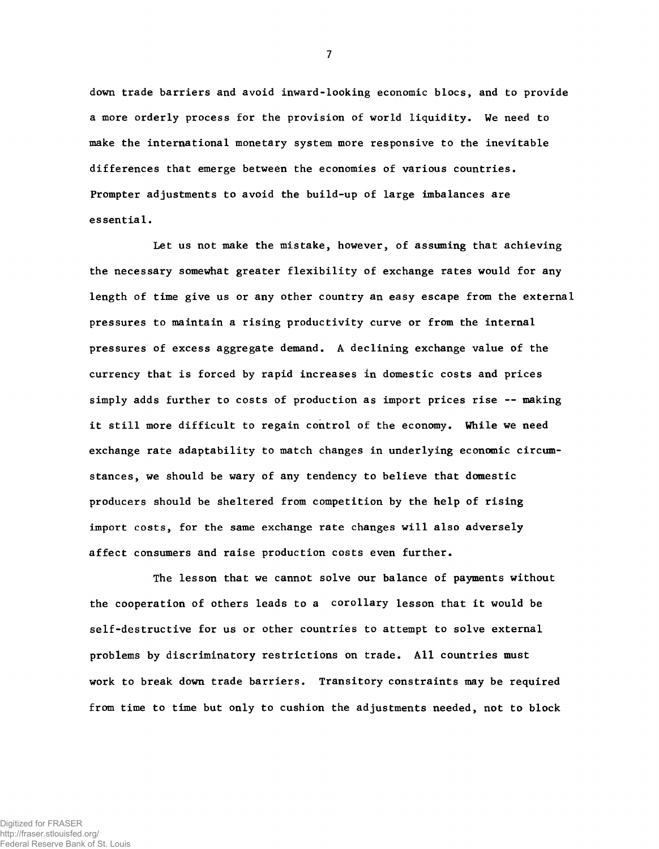**down trade barriers and avoid inward-looking economic blocs, and to provide a more orderly process for the provision of world liquidity. We need to make the international monetary system more responsive to the inevitable differences that emerge between the economies of various countries. Prompter adjustments to avoid the build-up of large imbalances are essential.**

**Let us not make the mistake, however, of assuming that achieving the necessary somewhat greater flexibility of exchange rates would for any length of time give us or any other country an easy escape from the external pressures to maintain a rising productivity curve or from the internal pressures of excess aggregate demand. A declining exchange value of the currency that is forced by rapid increases in domestic costs and prices simply adds further to costs of production as import prices rise — making it still more difficult to regain control of the economy. While we need exchange rate adaptability to match changes in underlying economic circumstances, we should be wary of any tendency to believe that domestic producers should be sheltered from competition by the help of rising import costs, for the same exchange rate changes will also adversely affect consumers and raise production costs even further.**

**The lesson that we cannot solve our balance of payments without the cooperation of others leads to a corollary lesson that it would be self-destructive for us or other countries to attempt to solve external problems by discriminatory restrictions on trade. All countries must work to break down trade barriers. Transitory constraints may be required from time to time but only to cushion the adjustments needed, not to block**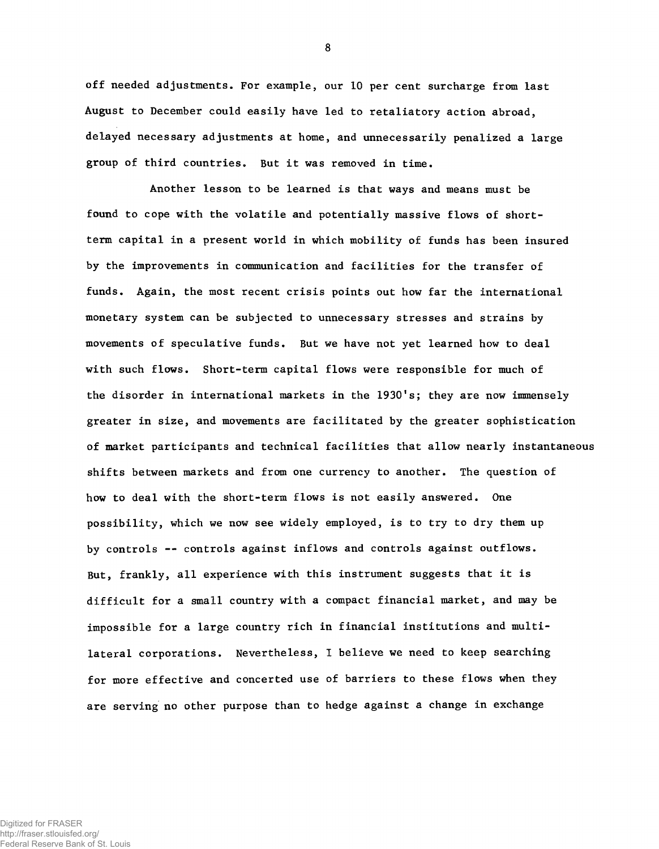**off needed adjustments. For example, our 10 per cent surcharge from last August to December could easily have led to retaliatory action abroad, delayed necessary adjustments at home, and unnecessarily penalized a large** group of third countries. But it was removed in time.

**Another lesson to be learned is that ways and means must be found to cope with the volatile and potentially massive flows of shortterm capital in a present world in which mobility of funds has been insured by the improvements in communication and facilities for the transfer of funds. Again, the most recent crisis points out how far the international monetary system can be subjected to unnecessary stresses and strains by movements of speculative funds. But we have not yet learned how to deal with such flows. Short-term capital flows were responsible for much of** the disorder in international markets in the 1930's; they are now immensely **greater in size, and movements are facilitated by the greater sophistication of market participants and technical facilities that allow nearly instantaneous shifts between markets and from one currency to another. The question of how to deal with the short-term flows is not easily answered. One possibility, which we now see widely employed, is to try to dry them up by controls -- controls against inflows and controls against outflows.** But, frankly, all experience with this instrument suggests that it is difficult for a small country with a compact financial market, and may be impossible for a large country rich in financial institutions and multilateral corporations. Nevertheless, I believe we need to keep searching for more effective and concerted use of barriers to these flows when they are serving no other purpose than to hedge against a change in exchange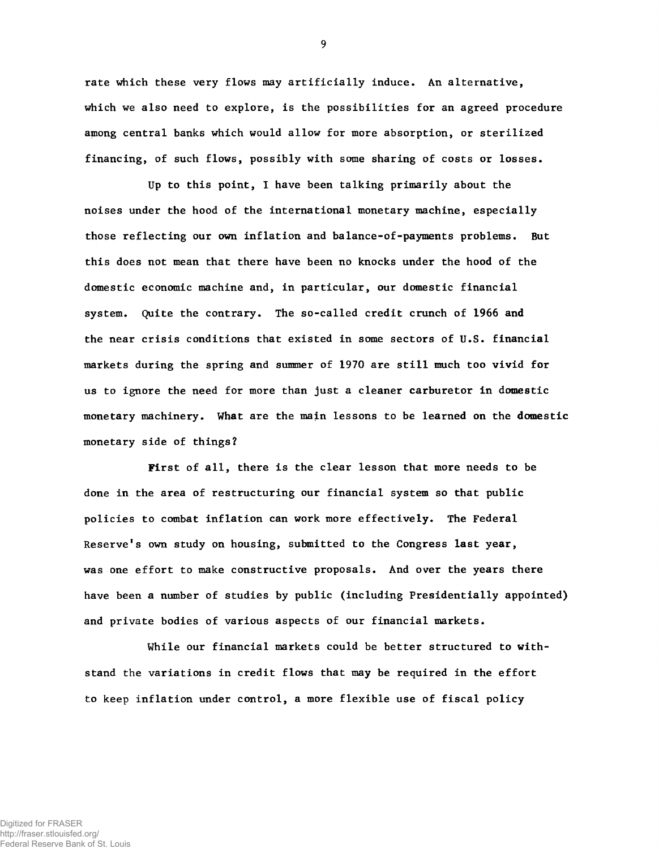**rate which these very flows may artificially induce. An alternative, which we also need to explore, is the possibilities for an agreed procedure among central banks which would allow for more absorption, or sterilized financing, of such flows, possibly with some sharing of costs or losses.**

**Up to this point, I have been talking primarily about the noises under the hood of the international monetary machine, especially those reflecting our own inflation and balance-of-payments problems. But this does not mean that there have been no knocks under the hood of the domestic economic machine and, in particular, our domestic financial system. Quite the contrary. The so-called credit crunch of 1966 and the near crisis conditions that existed in some sectors of U.S. financial markets during the spring and summer of 1970 are still much too vivid for us to ignore the need for more than just a cleaner carburetor in domestic monetary machinery. What are the main lessons to be learned on the domestic monetary side of things?**

**First of all, there is the clear lesson that more needs to be done in the area of restructuring our financial system so that public policies to combat inflation can work more effectively. The Federal Reserve's own study on housing, submitted to the Congress last year, was one effort to make constructive proposals. And over the years there have been a number of studies by public (including Presidentially appointed) and private bodies of various aspects of our financial markets.**

**While our financial markets could be better structured to withstand the variations in credit flows that may be required in the effort to keep inflation under control, a more flexible use of fiscal policy**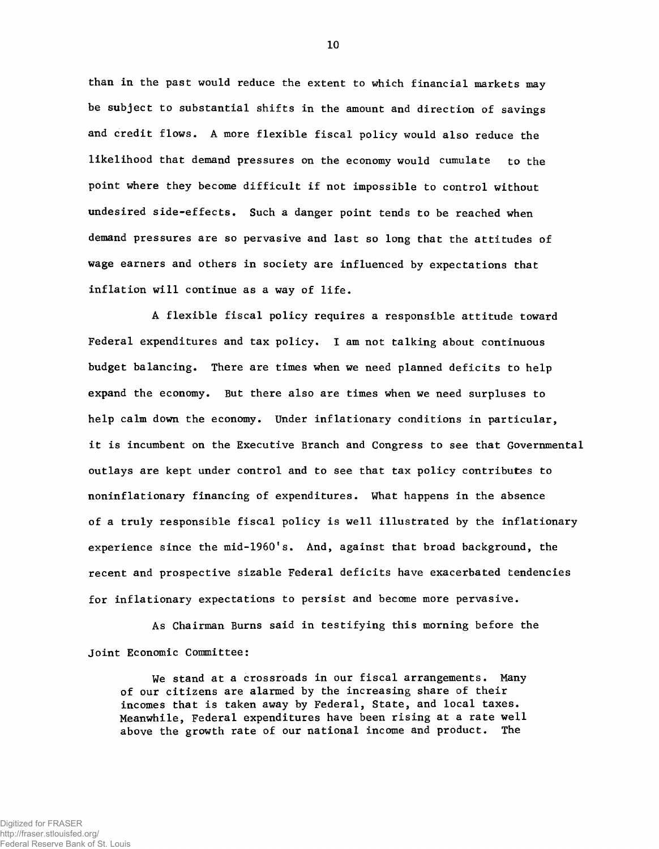**than in the past would reduce the extent to which financial markets may be subject to substantial shifts in the amount and direction of savings and credit flows. A more flexible fiscal policy would also reduce the likelihood that demand pressures on the economy would cumulate to the point where they become difficult if not impossible to control without undesired side-effects. Such a danger point tends to be reached when demand pressures are so pervasive and last so long that the attitudes of wage earners and others in society are influenced by expectations that inflation will continue as a way of life.**

**A flexible fiscal policy requires a responsible attitude toward Federal expenditures and tax policy. I am not talking about continuous budget balancing. There are times when we need planned deficits to help expand the economy. But there also are times when we need surpluses to help calm down the economy. Under inflationary conditions in particular, it is incumbent on the Executive Branch and Congress to see that Governmental outlays are kept under control and to see that tax policy contributes to noninflationary financing of expenditures. What happens in the absence of a truly responsible fiscal policy is well illustrated by the inflationary experience since the mid-1960's. And, against that broad background, the recent and prospective sizable Federal deficits have exacerbated tendencies for inflationary expectations to persist and become more pervasive.**

**As Chairman Burns said in testifying this morning before the Joint Economic Committee:**

**We stand at a crossroads in our fiscal arrangements. Many of our citizens are alarmed by the increasing share of their incomes that is taken away by Federal, State, and local taxes.** Meanwhile, Federal expenditures have been rising at a rate well above the growth rate of our national income and product. The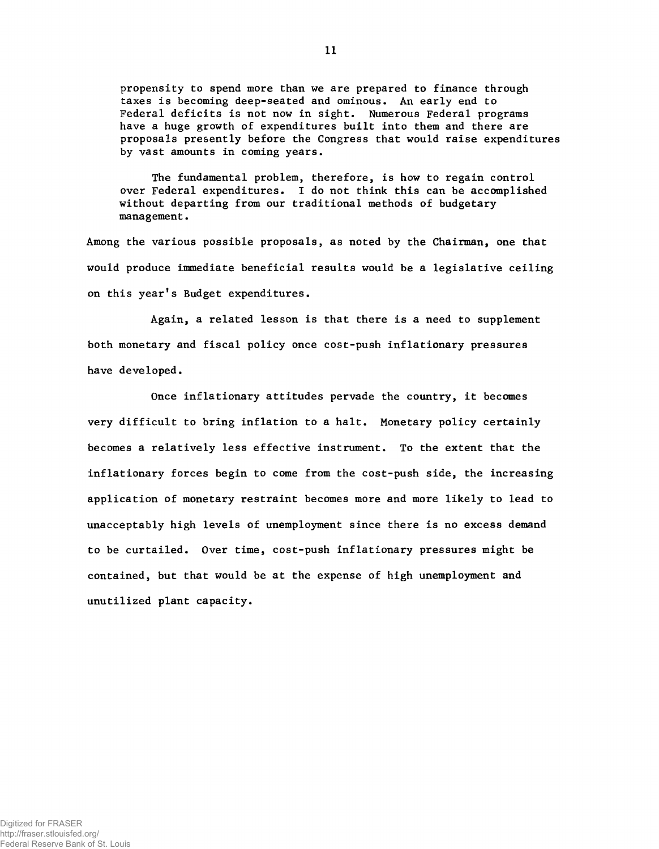propensity to spend more than we are prepared to finance through taxes is becoming deep-seated and ominous. An early end to Federal deficits is not now in sight. Numerous Federal programs have a huge growth of expenditures built into them and there are proposals presently before the Congress that would raise expenditures by vast amounts in coming years.

The fundamental problem, therefore, is how to regain control over Federal expenditures. I do not think this can be accomplished without departing from our traditional methods of budgetary management.

Among the various possible proposals, as noted by the Chairman, one that would produce immediate beneficial results would be a legislative ceiling on this year's Budget expenditures.

Again, a related lesson is that there is a need to supplement both monetary and fiscal policy once cost-push inflationary pressures have developed.

Once inflationary attitudes pervade the country, it becomes very difficult to bring inflation to a halt. Monetary policy certainly becomes a relatively less effective instrument. To the extent that the inflationary forces begin to come from the cost-push side, the increasing application of monetary restraint becomes more and more likely to lead to unacceptably high levels of unemployment since there is no excess demand to be curtailed. Over time, cost-push inflationary pressures might be contained, but that would be at the expense of high unemployment and unutilized plant capacity.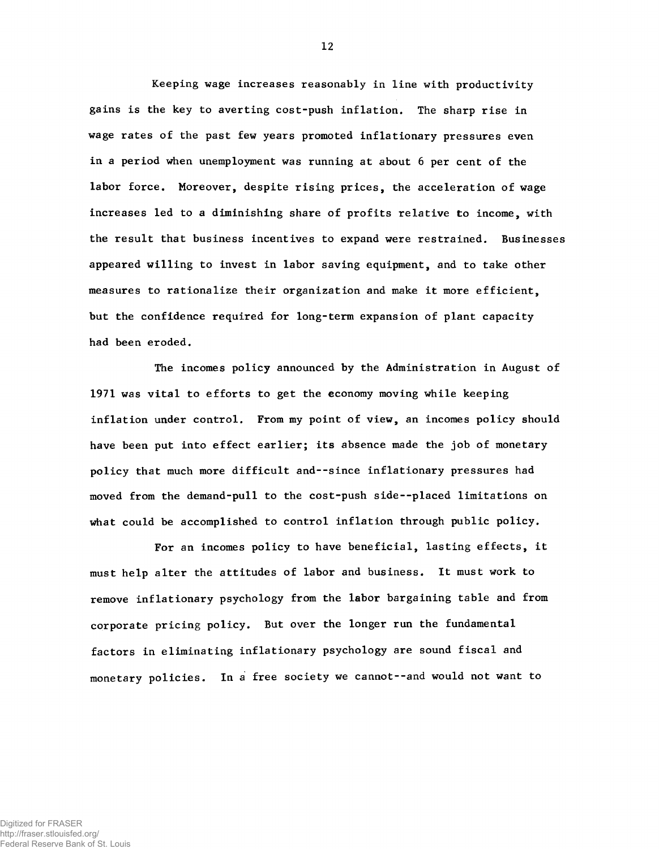**Keeping wage increases reasonably in line with productivity gains is the key to averting cost-push inflation. The sharp rise in wage rates of the past few years promoted inflationary pressures even in a period when unemployment was running at about 6 per cent of the labor force. Moreover, despite rising prices, the acceleration of wage increases led to a diminishing share of profits relative to income, with the result that business incentives to expand were restrained. Businesses appeared willing to invest in labor saving equipment, and to take other measures to rationalize their organization and make it more efficient, but the confidence required for long-term expansion of plant capacity had been eroded.**

The incomes policy announced by the Administration in August of 1971 was vital to efforts to get the economy moving while keeping inflation under control. From my point of view, an incomes policy should have been put into effect earlier; its absence made the job of monetary policy that much more difficult and--since inflationary pressures had moved from the demand-pull to the cost-push side--placed limitations on what could be accomplished to control inflation through public policy.

**For an incomes policy to have beneficial, lasting effects, it must help alter the attitudes of labor and business. It must work to remove inflationary psychology from the labor bargaining table and from corporate pricing policy. But over the longer run the fundamental factors in eliminating inflationary psychology are sound fiscal and monetary policies. In a free society we cannot--and would not want to**

Digitized for FRASER http://fraser.stlouisfed.org/ Federal Reserve Bank of St. Louis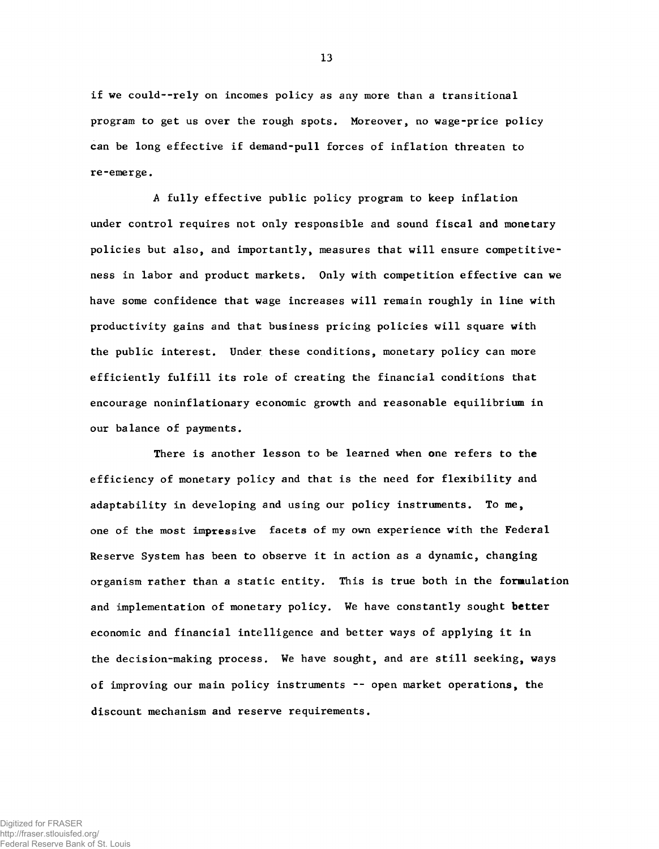**if we could--rely on incomes policy as any more than a transitional program to get us over the rough spots. Moreover, no wage-price policy can be long effective if demand-pull forces of inflation threaten to re-emerge.**

**A fully effective public policy program to keep inflation under control requires not only responsible and sound fiscal and monetary policies but also, and importantly, measures that will ensure competitiveness in labor and product markets. Only with competition effective can we have some confidence that wage increases will remain roughly in line with productivity gains and that business pricing policies will square with the public interest. Under these conditions, monetary policy can more efficiently fulfill its role of creating the financial conditions that encourage noninflationary economic growth and reasonable equilibrium in our balance of payments.**

**There is another lesson to be learned when one refers to the efficiency of monetary policy and that is the need for flexibility and adaptability in developing and using our policy instruments. To me, one of the most impressive facets of my own experience with the Federal Reserve System has been to observe it in action as a dynamic, changing organism rather than a static entity. This is true both in the formulation and implementation of monetary policy. We have constantly sought better economic and financial intelligence and better ways of applying it in the decision-making process. We have sought, and are still seeking, ways of improving our main policy instruments -- open market operations, the discount mechanism and reserve requirements.**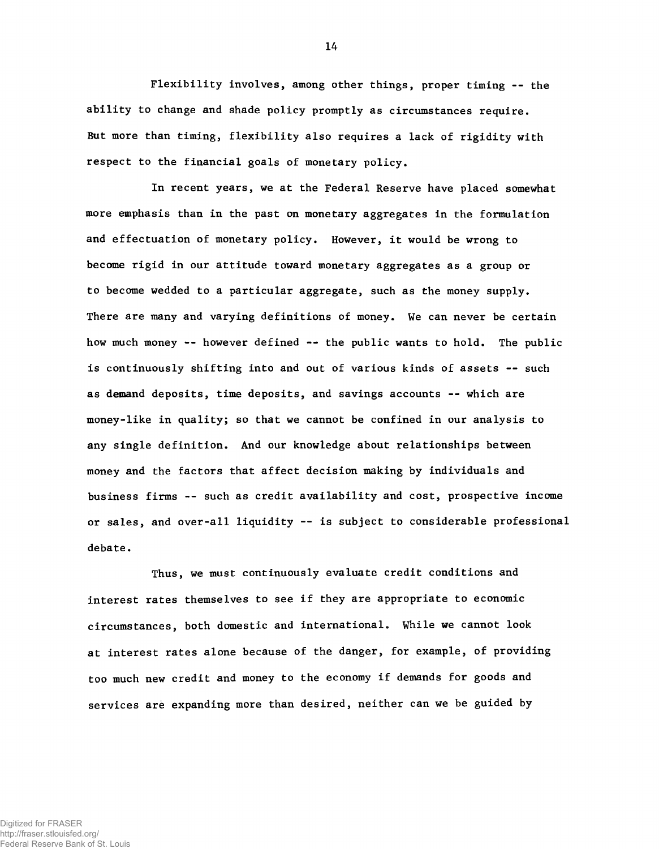Flexibility involves, among other things, proper timing -- the ability to change and shade policy promptly as circumstances require. But more than timing, flexibility also requires a lack of rigidity with respect to the financial goals of monetary policy.

In recent years, we at the Federal Reserve have placed somewhat more emphasis than in the past on monetary aggregates in the formulation and effectuation of monetary policy. However, it would be wrong to become rigid in our attitude toward monetary aggregates as a group or to become wedded to a particular aggregate, such as the money supply. There are many and varying definitions of money. We can never be certain how much money -- however defined -- the public wants to hold. The public is continuously shifting into and out of various kinds of assets — such as demand deposits, time deposits, and savings accounts -- which are money-like in quality; so that we cannot be confined in our analysis to any single definition. And our knowledge about relationships between money and the factors that affect decision making by individuals and business firms -- such as credit availability and cost, prospective income or sales, and over-all liquidity -- is subject to considerable professional debate.

Thus, we must continuously evaluate credit conditions and interest rates themselves to see if they are appropriate to economic circumstances, both domestic and international. While we cannot look at interest rates alone because of the danger, for example, of providing too much new credit and money to the economy if demands for goods and services are expanding more than desired, neither can we be guided by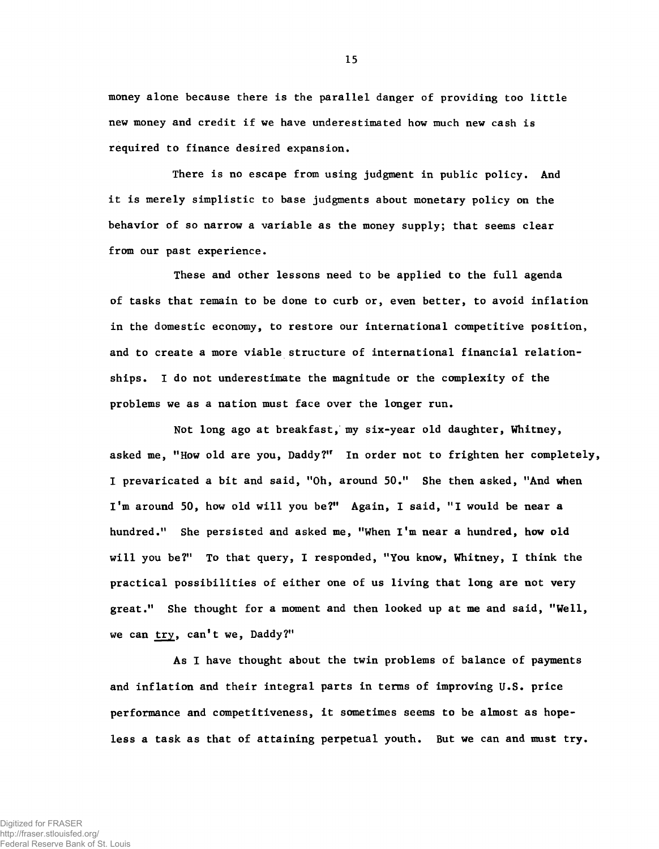**money alone because there is the parallel danger of providing too little new money and credit if we have underestimated how much new cash is required to finance desired expansion.**

**There is no escape from using judgment in public policy. And it is merely simplistic to base judgments about monetary policy on the behavior of so narrow a variable as the money supply; that seems clear from our past experience.**

**These and other lessons need to be applied to the full agenda of tasks that remain to be done to curb or, even better, to avoid inflation in the domestic economy, to restore our international competitive position, and to create a more viable structure of international financial relationships. I do not underestimate the magnitude or the complexity of the problems we as a nation must face over the longer run.**

**Not long ago at breakfast, my six-year old daughter, Whitney,** asked me, "How old are you, Daddy?" In order not to frighten her completely, **I prevaricated a bit and said, l!0h, around 50." She then asked, "And when I'm around 50, how old will you be?" Again, I said, "I would be near a hundred." She persisted and asked me, "When I'm near a hundred, how old will you be?" To that query, I responded, "You know, Whitney, I think the practical possibilities of either one of us living that long are not very great." She thought for a moment and then looked up at me and said, "Well, we can try, can't we, Daddy?"**

**As I have thought about the twin problems of balance of payments and inflation and their integral parts in terms of improving U.S. price performance and competitiveness, it sometimes seems to be almost as hopeless a task as that of attaining perpetual youth. But we can and must try.**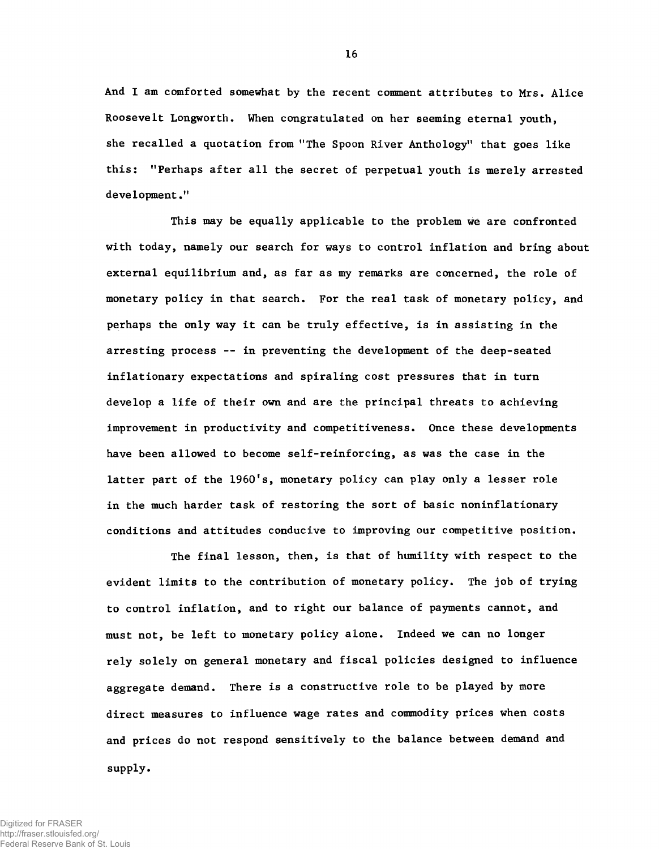**And I am comforted somewhat by the recent comment attributes to Mrs. Alice Roosevelt Longworth. When congratulated on her seeming eternal youth, she recalled a quotation from "The Spoon River Anthology11 that goes like this: "Perhaps after all the secret of perpetual youth is merely arrested development."**

**This may be equally applicable to the problem we are confronted with today, namely our search for ways to control inflation and bring about external equilibrium and, as far as my remarks are concerned, the role of monetary policy in that search. For the real task of monetary policy, and perhaps the only way it can be truly effective, is in assisting in the arresting process -- in preventing the development of the deep-seated inflationary expectations and spiraling cost pressures that in turn develop a life of their own and are the principal threats to achieving improvement in productivity and competitiveness. Once these developments have been allowed to become self-reinforcing, as was the case in the latter part of the 1960's, monetary policy can play only a lesser role in the much harder task of restoring the sort of basic noninflationary conditions and attitudes conducive to improving our competitive position.**

The final lesson, then, is that of humility with respect to the evident limits to the contribution of monetary policy. The job of trying to control inflation, and to right our balance of payments cannot, and must not, be left to monetary policy alone. Indeed we can no longer rely solely on general monetary and fiscal policies designed to influence aggregate demand. There is a constructive role to be played by more direct measures to influence wage rates and commodity prices when costs and prices do not respond sensitively to the balance between demand and supply.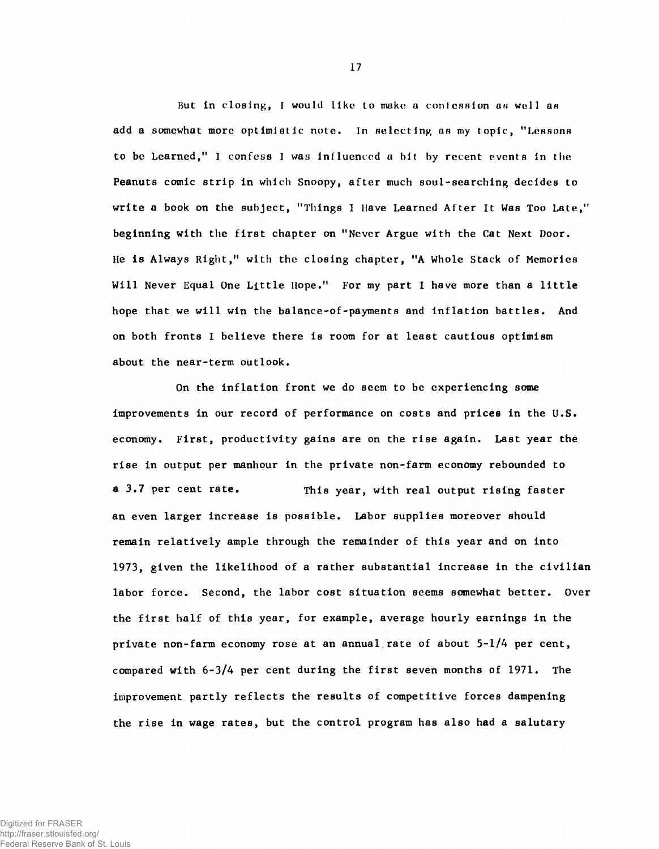But in closing, I would like to make a confession as well as **add a somewhat more optimistic note. In selecting as my topic, ''Lessons to be Learned,11 I confess 1 was influenced a bit by recent events in the Peanuts comic strip in which Snoopy, after much soul-searching decides to write a book on the subject, "Things I Have Learned After It Was Too Late," beginning with the first chapter on "Never Argue with the Cat Next Door. He is Always Right," with the closing chapter, "A Whole Stack of Memories Will Never Equal One Little Hope." For my part I have more than a little hope that we will win the balance-of-payments and Inflation battles. And on both fronts I believe there is room for at least cautious optimism about the near-term outlook.**

**On the inflation front we do seem to be experiencing some improvements in our record of performance on costs and prices in the U.S. economy. First, productivity gains are on the rise again. Last year the rise in output per manhour in the private non-farm economy rebounded to a 3.7 per cent rate. This year, with real output rising faster an even larger increase is possible. Labor supplies moreover should remain relatively ample through the remainder of this year and on into 1973, given the likelihood of a rather substantial increase in the civilian labor force. Second, the labor cost situation seems somewhat better. Over the first half of this year, for example, average hourly earnings in the private non-farm economy rose at an annual rate of about 5-1/4 per cent, compared with 6-3/4 per cent during the first seven months of 1971. The improvement partly reflects the results of competitive forces dampening the rise in wage rates, but the control program has also had a salutary**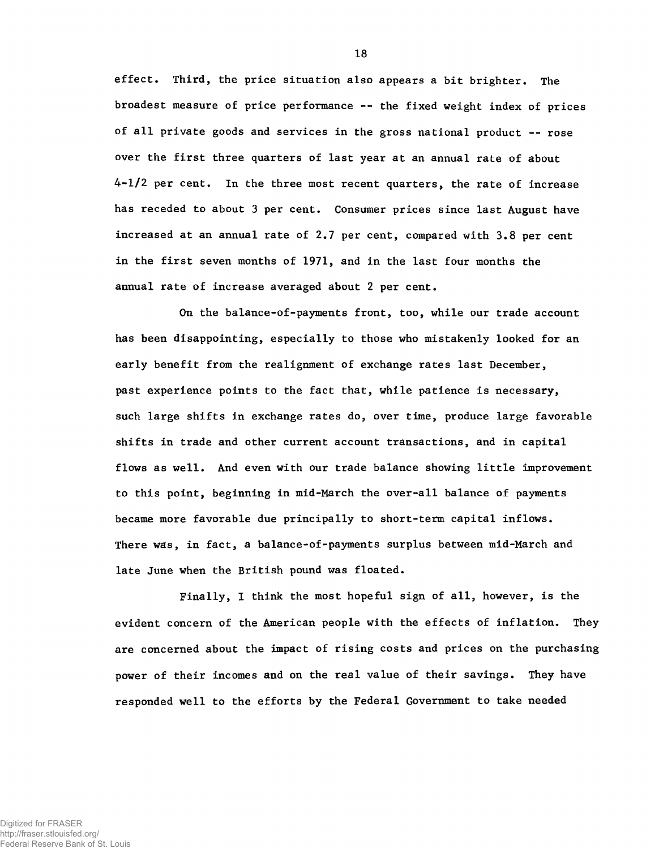**effect. Third, the price situation also appears a bit brighter. The broadest measure of price performance -- the fixed weight index of prices of all private goods and services in the gross national product — rose over the first three quarters of last year at an annual rate of about 4-1/2 per cent. In the three most recent quarters, the rate of increase has receded to about 3 per cent. Consumer prices since last August have increased at an annual rate of 2.7 per cent, compared with 3.8 per cent in the first seven months of 1971, and in the last four months the annual rate of increase averaged about 2 per cent.**

**On the balance-of-payments front, too, while our trade account has been disappointing, especially to those who mistakenly looked for an early benefit from the realignment of exchange rates last December, past experience points to the fact that, while patience is necessary, such large shifts in exchange rates do, over time, produce large favorable shifts in trade and other current account transactions, and in capital flows as well. And even with our trade balance showing little improvement to this point, beginning in mid-March the over-all balance of payments became more favorable due principally to short-term capital inflows. There was, in fact, a balance-of-payments surplus between mid-March and late June when the British pound was floated.**

**Finally, I think the most hopeful sign of all, however, is the evident concern of the American people with the effects of inflation. They are concerned about the impact of rising costs and prices on the purchasing power of their incomes and on the real value of their savings. They have responded well to the efforts by the Federal Government to take needed**